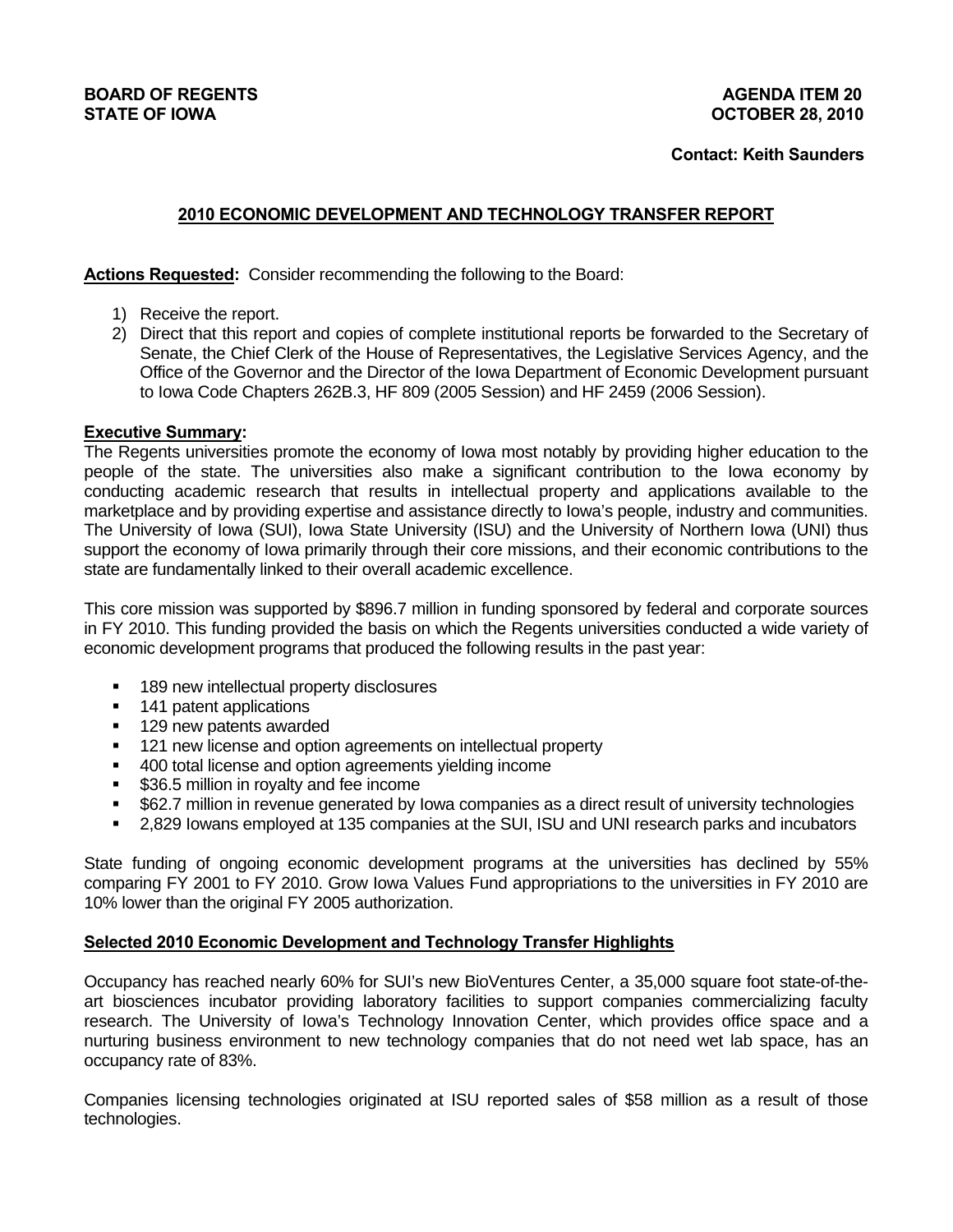# **BOARD OF REGENTS**<br> **BOARD OF REGENTS**<br> **BOARD OF IOWA**<br> **BOARD OF IOWA**<br> **BOARD OF IOWA**

# **2010 ECONOMIC DEVELOPMENT AND TECHNOLOGY TRANSFER REPORT**

**Actions Requested:** Consider recommending the following to the Board:

- 1) Receive the report.
- 2) Direct that this report and copies of complete institutional reports be forwarded to the Secretary of Senate, the Chief Clerk of the House of Representatives, the Legislative Services Agency, and the Office of the Governor and the Director of the Iowa Department of Economic Development pursuant to Iowa Code Chapters 262B.3, HF 809 (2005 Session) and HF 2459 (2006 Session).

# **Executive Summary:**

The Regents universities promote the economy of Iowa most notably by providing higher education to the people of the state. The universities also make a significant contribution to the Iowa economy by conducting academic research that results in intellectual property and applications available to the marketplace and by providing expertise and assistance directly to Iowa's people, industry and communities. The University of Iowa (SUI), Iowa State University (ISU) and the University of Northern Iowa (UNI) thus support the economy of Iowa primarily through their core missions, and their economic contributions to the state are fundamentally linked to their overall academic excellence.

This core mission was supported by \$896.7 million in funding sponsored by federal and corporate sources in FY 2010. This funding provided the basis on which the Regents universities conducted a wide variety of economic development programs that produced the following results in the past year:

- 189 new intellectual property disclosures
- 141 patent applications
- 129 new patents awarded
- 121 new license and option agreements on intellectual property
- 400 total license and option agreements yielding income
- \$36.5 million in royalty and fee income
- \$62.7 million in revenue generated by Iowa companies as a direct result of university technologies
- 2,829 Iowans employed at 135 companies at the SUI, ISU and UNI research parks and incubators

State funding of ongoing economic development programs at the universities has declined by 55% comparing FY 2001 to FY 2010. Grow Iowa Values Fund appropriations to the universities in FY 2010 are 10% lower than the original FY 2005 authorization.

# **Selected 2010 Economic Development and Technology Transfer Highlights**

Occupancy has reached nearly 60% for SUI's new BioVentures Center, a 35,000 square foot state-of-theart biosciences incubator providing laboratory facilities to support companies commercializing faculty research. The University of Iowa's Technology Innovation Center, which provides office space and a nurturing business environment to new technology companies that do not need wet lab space, has an occupancy rate of 83%.

Companies licensing technologies originated at ISU reported sales of \$58 million as a result of those technologies.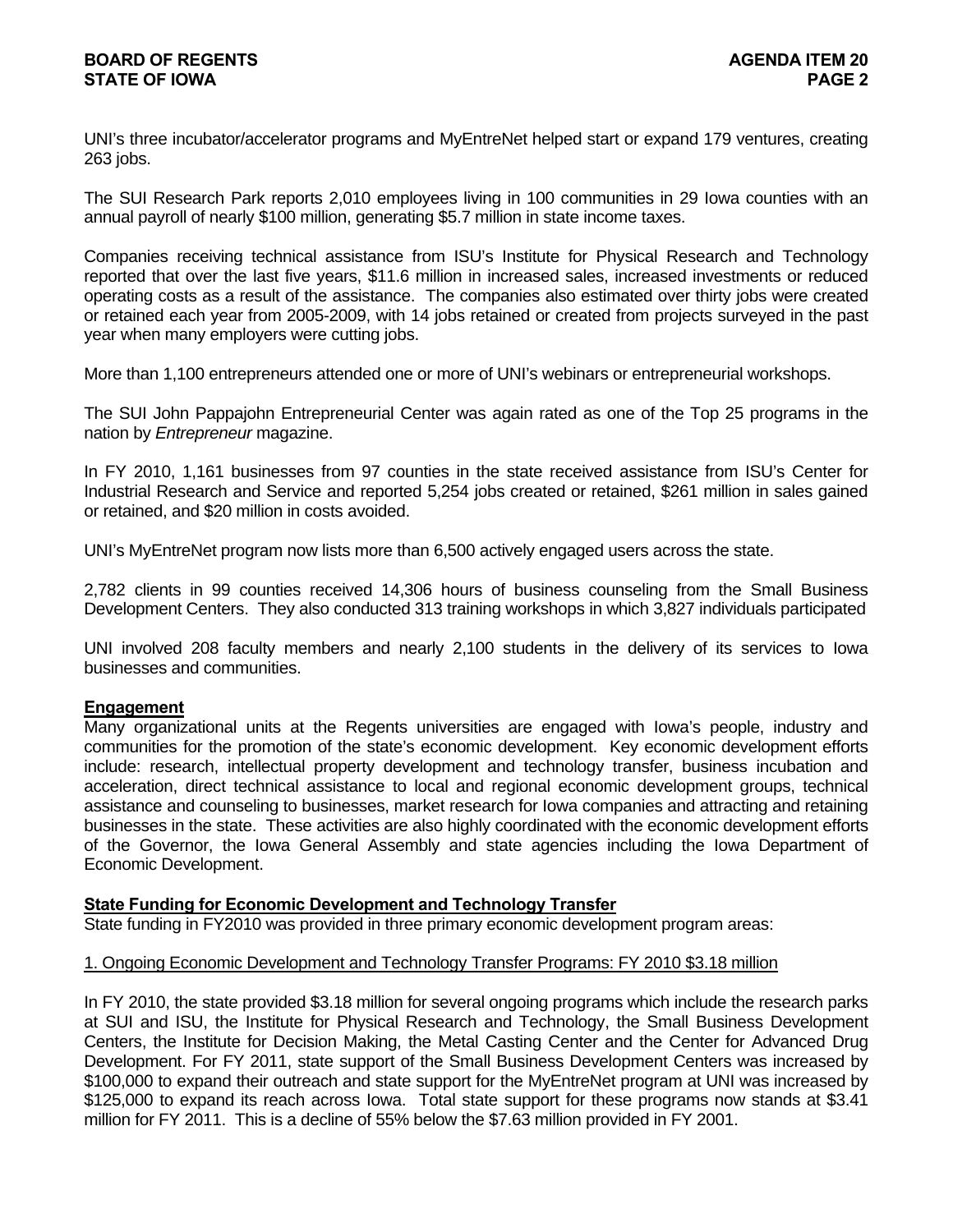UNI's three incubator/accelerator programs and MyEntreNet helped start or expand 179 ventures, creating 263 jobs.

The SUI Research Park reports 2,010 employees living in 100 communities in 29 Iowa counties with an annual payroll of nearly \$100 million, generating \$5.7 million in state income taxes.

Companies receiving technical assistance from ISU's Institute for Physical Research and Technology reported that over the last five years, \$11.6 million in increased sales, increased investments or reduced operating costs as a result of the assistance. The companies also estimated over thirty jobs were created or retained each year from 2005-2009, with 14 jobs retained or created from projects surveyed in the past year when many employers were cutting jobs.

More than 1,100 entrepreneurs attended one or more of UNI's webinars or entrepreneurial workshops.

The SUI John Pappajohn Entrepreneurial Center was again rated as one of the Top 25 programs in the nation by *Entrepreneur* magazine.

In FY 2010, 1,161 businesses from 97 counties in the state received assistance from ISU's Center for Industrial Research and Service and reported 5,254 jobs created or retained, \$261 million in sales gained or retained, and \$20 million in costs avoided.

UNI's MyEntreNet program now lists more than 6,500 actively engaged users across the state.

2,782 clients in 99 counties received 14,306 hours of business counseling from the Small Business Development Centers. They also conducted 313 training workshops in which 3,827 individuals participated

UNI involved 208 faculty members and nearly 2,100 students in the delivery of its services to Iowa businesses and communities.

#### **Engagement**

Many organizational units at the Regents universities are engaged with Iowa's people, industry and communities for the promotion of the state's economic development. Key economic development efforts include: research, intellectual property development and technology transfer, business incubation and acceleration, direct technical assistance to local and regional economic development groups, technical assistance and counseling to businesses, market research for Iowa companies and attracting and retaining businesses in the state. These activities are also highly coordinated with the economic development efforts of the Governor, the Iowa General Assembly and state agencies including the Iowa Department of Economic Development.

## **State Funding for Economic Development and Technology Transfer**

State funding in FY2010 was provided in three primary economic development program areas:

#### 1. Ongoing Economic Development and Technology Transfer Programs: FY 2010 \$3.18 million

In FY 2010, the state provided \$3.18 million for several ongoing programs which include the research parks at SUI and ISU, the Institute for Physical Research and Technology, the Small Business Development Centers, the Institute for Decision Making, the Metal Casting Center and the Center for Advanced Drug Development. For FY 2011, state support of the Small Business Development Centers was increased by \$100,000 to expand their outreach and state support for the MyEntreNet program at UNI was increased by \$125,000 to expand its reach across Iowa. Total state support for these programs now stands at \$3.41 million for FY 2011. This is a decline of 55% below the \$7.63 million provided in FY 2001.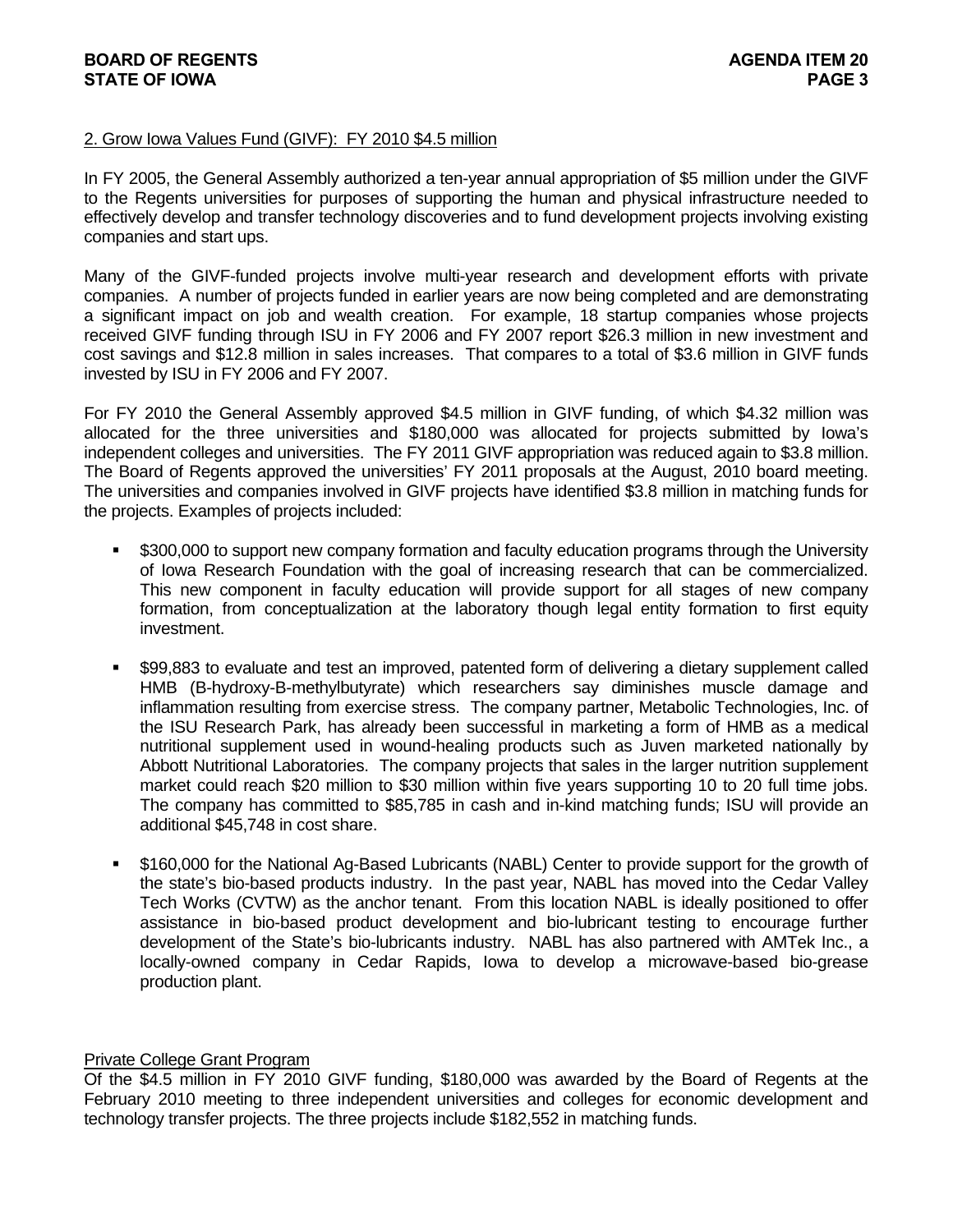# **BOARD OF REGENTS AGENUS AGENERATION CONTROL STATE OF IOWA** PAGE 3

## 2. Grow Iowa Values Fund (GIVF): FY 2010 \$4.5 million

In FY 2005, the General Assembly authorized a ten-year annual appropriation of \$5 million under the GIVF to the Regents universities for purposes of supporting the human and physical infrastructure needed to effectively develop and transfer technology discoveries and to fund development projects involving existing companies and start ups.

Many of the GIVF-funded projects involve multi-year research and development efforts with private companies. A number of projects funded in earlier years are now being completed and are demonstrating a significant impact on job and wealth creation. For example, 18 startup companies whose projects received GIVF funding through ISU in FY 2006 and FY 2007 report \$26.3 million in new investment and cost savings and \$12.8 million in sales increases. That compares to a total of \$3.6 million in GIVF funds invested by ISU in FY 2006 and FY 2007.

For FY 2010 the General Assembly approved \$4.5 million in GIVF funding, of which \$4.32 million was allocated for the three universities and \$180,000 was allocated for projects submitted by Iowa's independent colleges and universities. The FY 2011 GIVF appropriation was reduced again to \$3.8 million. The Board of Regents approved the universities' FY 2011 proposals at the August, 2010 board meeting. The universities and companies involved in GIVF projects have identified \$3.8 million in matching funds for the projects. Examples of projects included:

- \$300,000 to support new company formation and faculty education programs through the University of Iowa Research Foundation with the goal of increasing research that can be commercialized. This new component in faculty education will provide support for all stages of new company formation, from conceptualization at the laboratory though legal entity formation to first equity investment.
- \$99,883 to evaluate and test an improved, patented form of delivering a dietary supplement called HMB (B-hydroxy-B-methylbutyrate) which researchers say diminishes muscle damage and inflammation resulting from exercise stress. The company partner, Metabolic Technologies, Inc. of the ISU Research Park, has already been successful in marketing a form of HMB as a medical nutritional supplement used in wound-healing products such as Juven marketed nationally by Abbott Nutritional Laboratories. The company projects that sales in the larger nutrition supplement market could reach \$20 million to \$30 million within five years supporting 10 to 20 full time jobs. The company has committed to \$85,785 in cash and in-kind matching funds; ISU will provide an additional \$45,748 in cost share.
- \$160,000 for the National Ag-Based Lubricants (NABL) Center to provide support for the growth of the state's bio-based products industry. In the past year, NABL has moved into the Cedar Valley Tech Works (CVTW) as the anchor tenant. From this location NABL is ideally positioned to offer assistance in bio-based product development and bio-lubricant testing to encourage further development of the State's bio-lubricants industry. NABL has also partnered with AMTek Inc., a locally-owned company in Cedar Rapids, Iowa to develop a microwave-based bio-grease production plant.

## Private College Grant Program

Of the \$4.5 million in FY 2010 GIVF funding, \$180,000 was awarded by the Board of Regents at the February 2010 meeting to three independent universities and colleges for economic development and technology transfer projects. The three projects include \$182,552 in matching funds.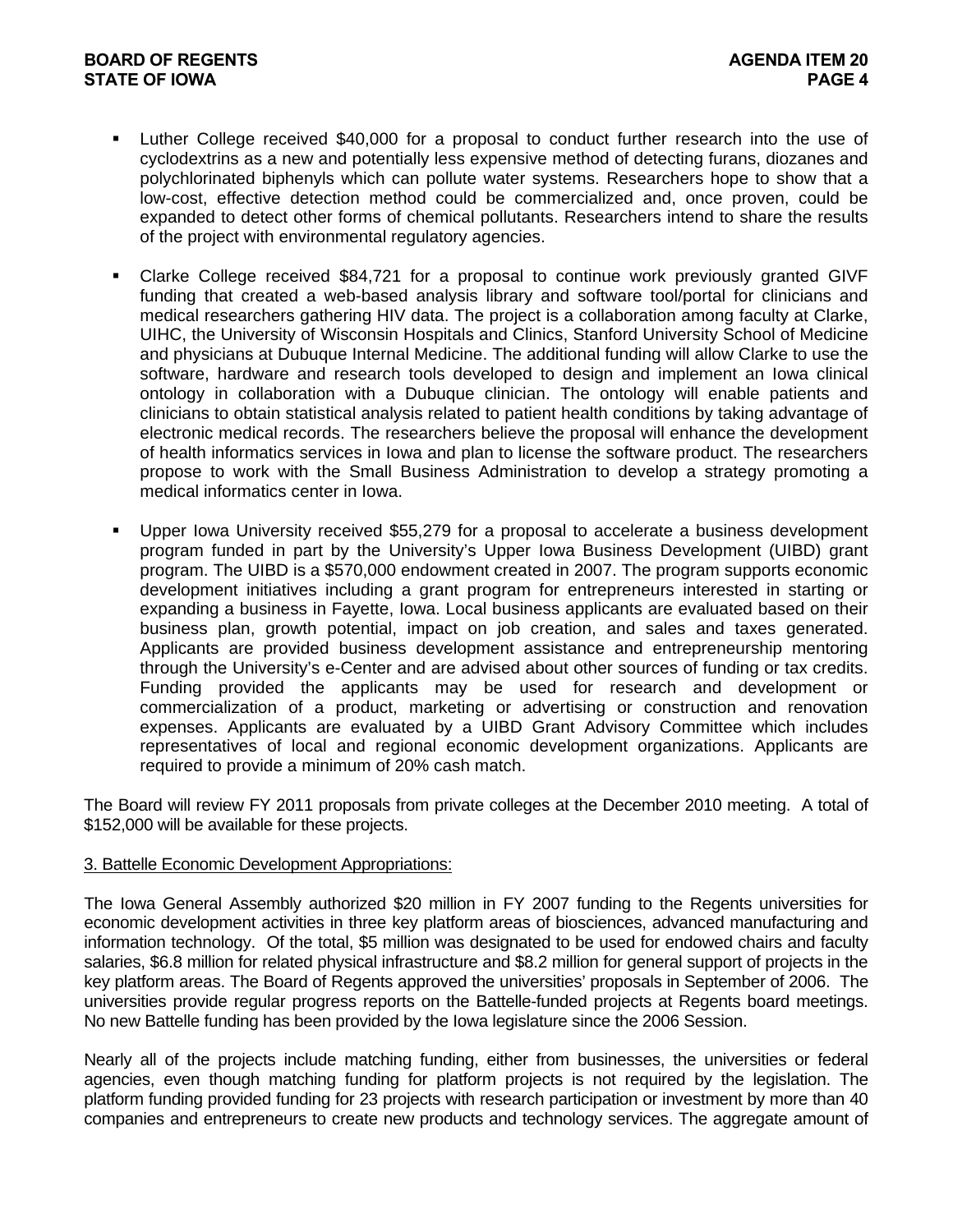- Luther College received \$40,000 for a proposal to conduct further research into the use of cyclodextrins as a new and potentially less expensive method of detecting furans, diozanes and polychlorinated biphenyls which can pollute water systems. Researchers hope to show that a low-cost, effective detection method could be commercialized and, once proven, could be expanded to detect other forms of chemical pollutants. Researchers intend to share the results of the project with environmental regulatory agencies.
- Clarke College received \$84,721 for a proposal to continue work previously granted GIVF funding that created a web-based analysis library and software tool/portal for clinicians and medical researchers gathering HIV data. The project is a collaboration among faculty at Clarke, UIHC, the University of Wisconsin Hospitals and Clinics, Stanford University School of Medicine and physicians at Dubuque Internal Medicine. The additional funding will allow Clarke to use the software, hardware and research tools developed to design and implement an Iowa clinical ontology in collaboration with a Dubuque clinician. The ontology will enable patients and clinicians to obtain statistical analysis related to patient health conditions by taking advantage of electronic medical records. The researchers believe the proposal will enhance the development of health informatics services in Iowa and plan to license the software product. The researchers propose to work with the Small Business Administration to develop a strategy promoting a medical informatics center in Iowa.
- Upper Iowa University received \$55,279 for a proposal to accelerate a business development program funded in part by the University's Upper Iowa Business Development (UIBD) grant program. The UIBD is a \$570,000 endowment created in 2007. The program supports economic development initiatives including a grant program for entrepreneurs interested in starting or expanding a business in Fayette, Iowa. Local business applicants are evaluated based on their business plan, growth potential, impact on job creation, and sales and taxes generated. Applicants are provided business development assistance and entrepreneurship mentoring through the University's e-Center and are advised about other sources of funding or tax credits. Funding provided the applicants may be used for research and development or commercialization of a product, marketing or advertising or construction and renovation expenses. Applicants are evaluated by a UIBD Grant Advisory Committee which includes representatives of local and regional economic development organizations. Applicants are required to provide a minimum of 20% cash match.

The Board will review FY 2011 proposals from private colleges at the December 2010 meeting. A total of \$152,000 will be available for these projects.

#### 3. Battelle Economic Development Appropriations:

The Iowa General Assembly authorized \$20 million in FY 2007 funding to the Regents universities for economic development activities in three key platform areas of biosciences, advanced manufacturing and information technology. Of the total, \$5 million was designated to be used for endowed chairs and faculty salaries, \$6.8 million for related physical infrastructure and \$8.2 million for general support of projects in the key platform areas. The Board of Regents approved the universities' proposals in September of 2006. The universities provide regular progress reports on the Battelle-funded projects at Regents board meetings. No new Battelle funding has been provided by the Iowa legislature since the 2006 Session.

Nearly all of the projects include matching funding, either from businesses, the universities or federal agencies, even though matching funding for platform projects is not required by the legislation. The platform funding provided funding for 23 projects with research participation or investment by more than 40 companies and entrepreneurs to create new products and technology services. The aggregate amount of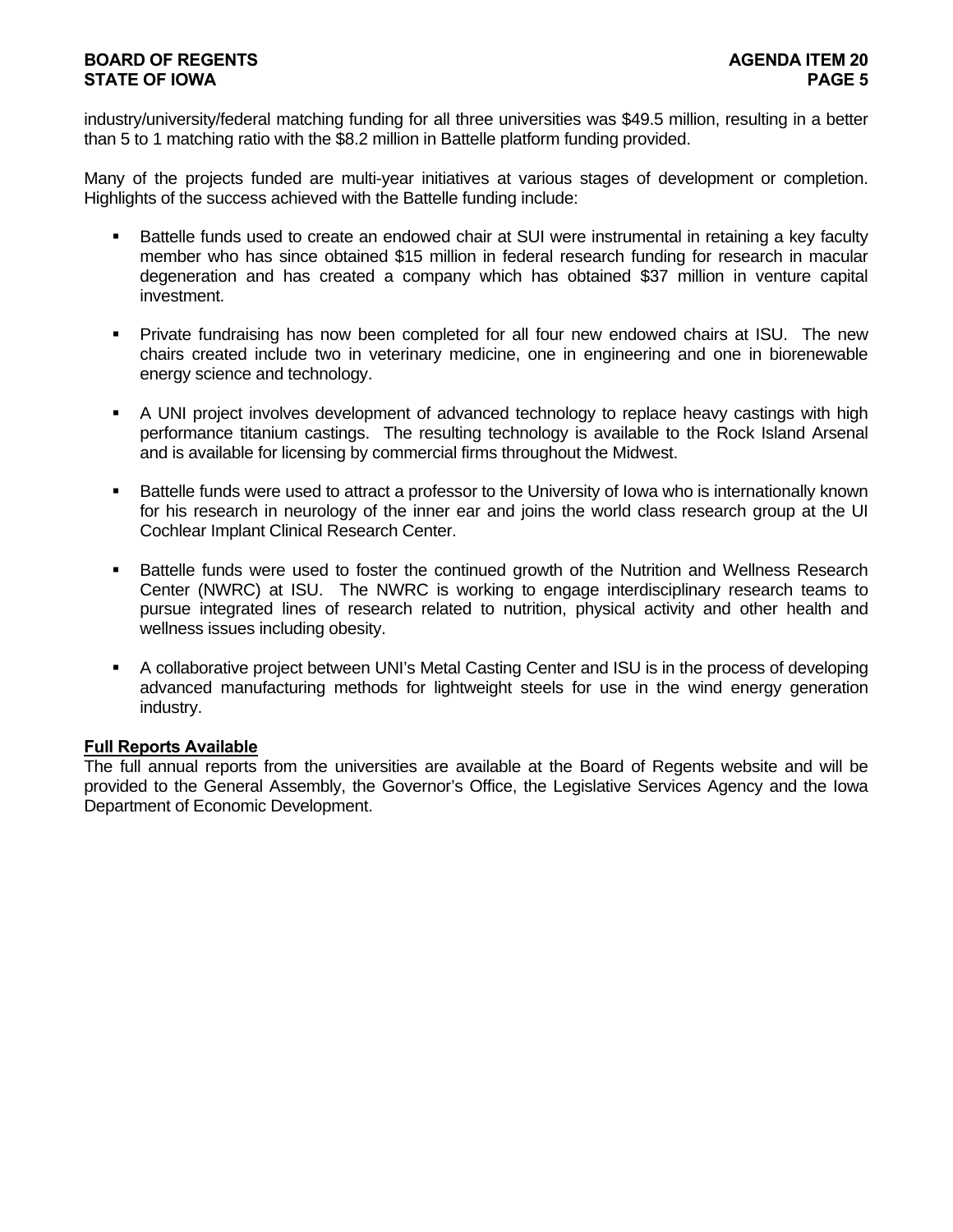# **BOARD OF REGENTS AGENTS** AGENERATION OF REGENERAL AGENERATION OF REGENERAL AGENERATION OF REGENERAL AGENERATION OF  $\mathbf{A}$ **STATE OF IOWA** PAGE 5

industry/university/federal matching funding for all three universities was \$49.5 million, resulting in a better than 5 to 1 matching ratio with the \$8.2 million in Battelle platform funding provided.

Many of the projects funded are multi-year initiatives at various stages of development or completion. Highlights of the success achieved with the Battelle funding include:

- Battelle funds used to create an endowed chair at SUI were instrumental in retaining a key faculty member who has since obtained \$15 million in federal research funding for research in macular degeneration and has created a company which has obtained \$37 million in venture capital investment.
- Private fundraising has now been completed for all four new endowed chairs at ISU. The new chairs created include two in veterinary medicine, one in engineering and one in biorenewable energy science and technology.
- A UNI project involves development of advanced technology to replace heavy castings with high performance titanium castings. The resulting technology is available to the Rock Island Arsenal and is available for licensing by commercial firms throughout the Midwest.
- Battelle funds were used to attract a professor to the University of Iowa who is internationally known for his research in neurology of the inner ear and joins the world class research group at the UI Cochlear Implant Clinical Research Center.
- **Battelle funds were used to foster the continued growth of the Nutrition and Wellness Research** Center (NWRC) at ISU. The NWRC is working to engage interdisciplinary research teams to pursue integrated lines of research related to nutrition, physical activity and other health and wellness issues including obesity.
- A collaborative project between UNI's Metal Casting Center and ISU is in the process of developing advanced manufacturing methods for lightweight steels for use in the wind energy generation industry.

## **Full Reports Available**

The full annual reports from the universities are available at the Board of Regents website and will be provided to the General Assembly, the Governor's Office, the Legislative Services Agency and the Iowa Department of Economic Development.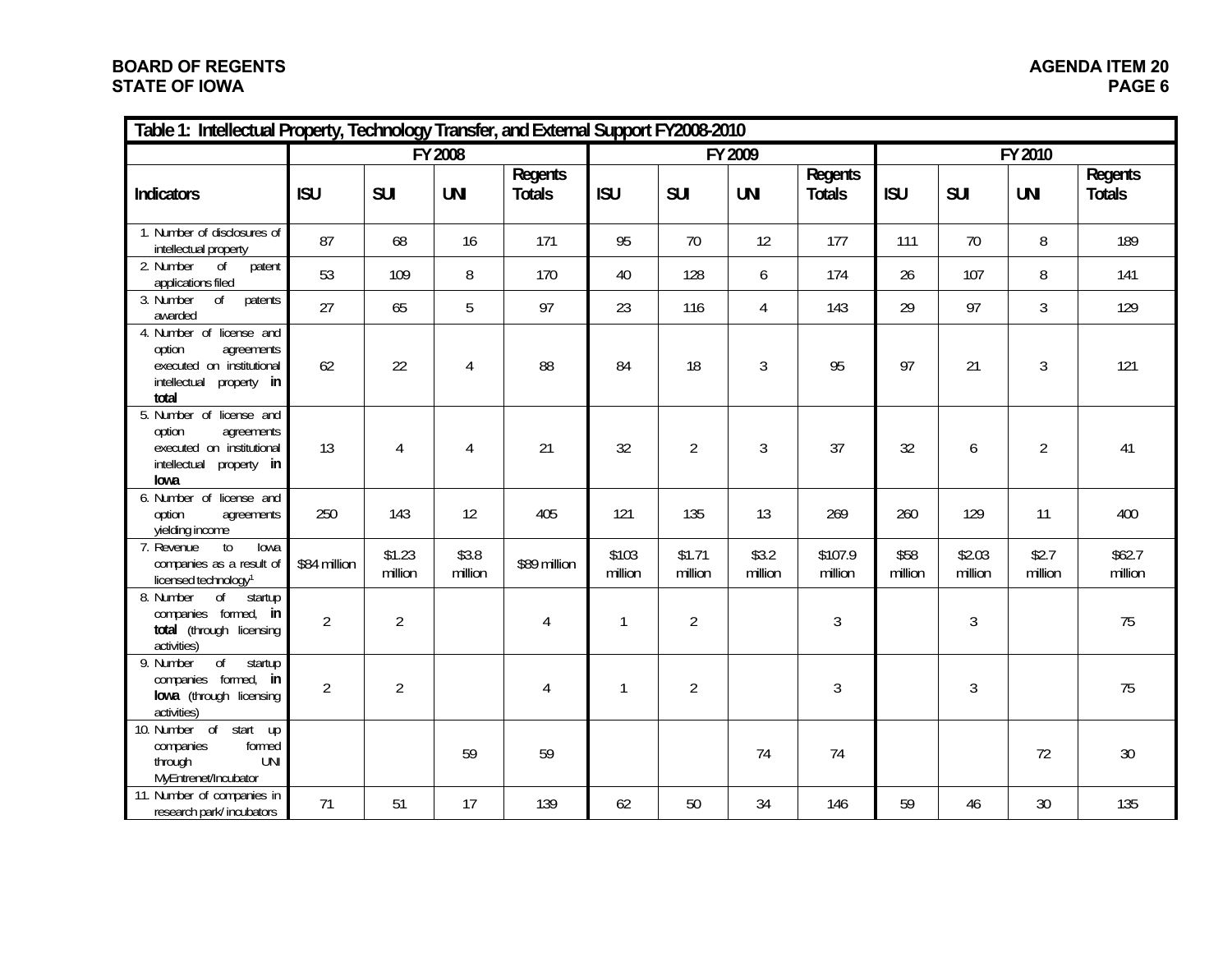# **BOARD OF REGENTS STATE OF IOWA**

| Table 1: Intellectual Property, Technology Transfer, and External Support FY2008-2010                                 |                |                   |                  |                          |                  |                   |                  |                          |                 |                   |                  |                          |  |
|-----------------------------------------------------------------------------------------------------------------------|----------------|-------------------|------------------|--------------------------|------------------|-------------------|------------------|--------------------------|-----------------|-------------------|------------------|--------------------------|--|
|                                                                                                                       | FY 2008        |                   |                  |                          |                  |                   | FY 2009          |                          | FY 2010         |                   |                  |                          |  |
| <b>Indicators</b>                                                                                                     | <b>ISU</b>     | <b>SUI</b>        | <b>UNI</b>       | Regents<br><b>Totals</b> | <b>ISU</b>       | <b>SUI</b>        | <b>UNI</b>       | Regents<br><b>Totals</b> | <b>ISU</b>      | <b>SUI</b>        | <b>UNI</b>       | Regents<br><b>Totals</b> |  |
| 1. Number of disclosures of<br>intellectual property                                                                  | 87             | 68                | 16               | 171                      | 95               | 70                | 12               | 177                      | 111             | 70                | 8                | 189                      |  |
| 2. Number<br>$\sigma$<br>patent<br>applications filed                                                                 | 53             | 109               | 8                | 170                      | 40               | 128               | 6                | 174                      | 26              | 107               | 8                | 141                      |  |
| 3. Number<br>$\sigma$<br>patents<br>awarded                                                                           | 27             | 65                | 5                | 97                       | 23               | 116               | 4                | 143                      | 29              | 97                | $\mathfrak{Z}$   | 129                      |  |
| 4. Number of license and<br>agreements<br>option<br>executed on institutional<br>intellectual<br>property in<br>total | 62             | 22                | 4                | 88                       | 84               | 18                | 3                | 95                       | 97              | 21                | $\mathfrak{Z}$   | 121                      |  |
| 5. Number of license and<br>option<br>agreements<br>executed on institutional<br>intellectual<br>property in<br>lowa  | 13             | $\overline{4}$    | 4                | 21                       | 32               | $\overline{2}$    | $\mathfrak{Z}$   | 37                       | 32              | 6                 | $\overline{2}$   | 41                       |  |
| 6. Number of license and<br>option<br>agreements<br>yielding income                                                   | 250            | 143               | 12               | 405                      | 121              | 135               | 13               | 269                      | 260             | 129               | 11               | 400                      |  |
| 7. Revenue<br>$10$<br>lowa<br>companies as a result of<br>licensed technology <sup>1</sup>                            | \$84 million   | \$1.23<br>million | \$3.8<br>million | \$89 million             | \$103<br>million | \$1.71<br>million | \$3.2<br>million | \$107.9<br>million       | \$58<br>million | \$2.03<br>million | \$2.7<br>million | \$62.7<br>million        |  |
| $\overline{of}$<br>8. Number<br>startup<br>companies formed, in<br>total (through licensing<br>activities)            | $\overline{2}$ | $\overline{2}$    |                  | $\overline{4}$           | 1                | $\overline{2}$    |                  | 3                        |                 | $\mathfrak{Z}$    |                  | 75                       |  |
| $\overline{of}$<br>startup<br>9. Number<br>companies formed, in<br>lowa (through licensing<br>activities)             | $\overline{2}$ | $\overline{2}$    |                  | 4                        | 1                | $\overline{2}$    |                  | $\mathfrak{Z}$           |                 | 3                 |                  | 75                       |  |
| 10. Number of start up<br>formed<br>companies<br>through<br><b>UNI</b><br>MyEntrenet/Incubator                        |                |                   | 59               | 59                       |                  |                   | 74               | 74                       |                 |                   | 72               | 30                       |  |
| 11. Number of companies in<br>research park/incubators                                                                | 71             | 51                | 17               | 139                      | 62               | 50                | 34               | 146                      | 59              | 46                | 30 <sup>°</sup>  | 135                      |  |